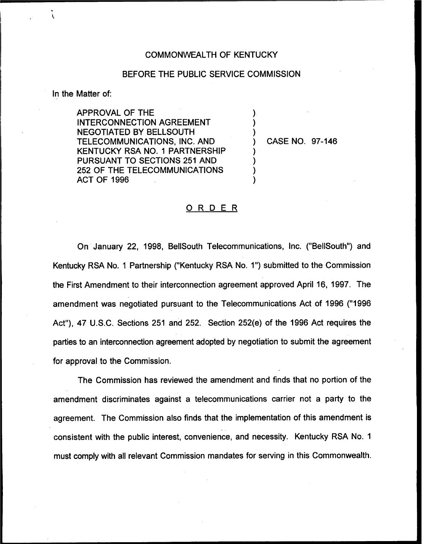## COMMONWEALTH OF KENTUCKY

## BEFORE THE PUBLIC SERVICE COMMISSION

) ) )

) ) ) )

In the Matter of:

APPROVAL OF THE INTERCONNECTION AGREEMENT NEGOTIATED BY BELLSOUTH TELECOMMUNICATIONS, INC. AND KENTUCKY RSA NO. 1 PARTNERSHIP PURSUANT TO SECTIONS 251 AND 252 OF THE TELECOMMUNICATIONS ACT OF 1996

) CASE NO. 97-146

## ORDER

On January 22, 1998, BellSouth Telecommunications, Inc. ("BellSouth") and Kentucky RSA No. 1 Partnership ("Kentucky RSA No. 1") submitted to the Commission the First Amendment to their interconnection agreement approved April 16, 1997. The amendment was negotiated pursuant to the Telecommunications Act of 1996 ("1996 Act"), 47 U.S.C. Sections 251 and 252. Section 252(e) of the 1996 Act requires the parties to an interconnection agreement adopted by negotiation to submit the agreement for approval to the Commission.

The Commission has reviewed the amendment and finds that no portion of the amendment discriminates against a telecommunications carrier not a party to the agreement. The Commission also finds that the implementation of this amendment is consistent with the public interest, convenience, and necessity. Kentucky RSA No. 1 must comply with all relevant Commission mandates for serving in this Commonwealth.